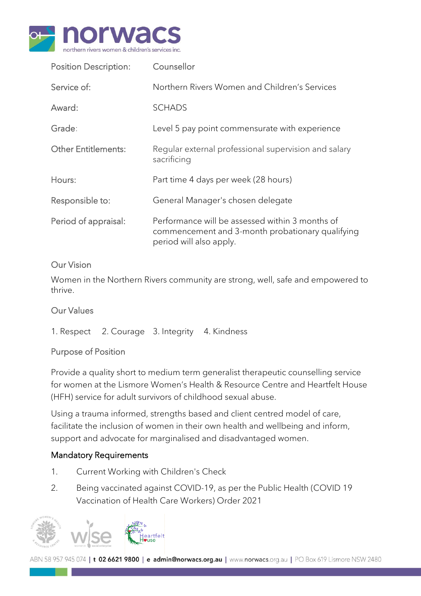

| <b>Position Description:</b> | Counsellor                                                                                                                     |  |
|------------------------------|--------------------------------------------------------------------------------------------------------------------------------|--|
| Service of:                  | Northern Rivers Women and Children's Services                                                                                  |  |
| Award:                       | <b>SCHADS</b>                                                                                                                  |  |
| Grade:                       | Level 5 pay point commensurate with experience                                                                                 |  |
| <b>Other Entitlements:</b>   | Regular external professional supervision and salary<br>sacrificing                                                            |  |
| Hours:                       | Part time 4 days per week (28 hours)                                                                                           |  |
| Responsible to:              | General Manager's chosen delegate                                                                                              |  |
| Period of appraisal:         | Performance will be assessed within 3 months of<br>commencement and 3-month probationary qualifying<br>period will also apply. |  |

#### Our Vision

Women in the Northern Rivers community are strong, well, safe and empowered to thrive.

#### Our Values

1. Respect 2. Courage 3. Integrity 4. Kindness

#### Purpose of Position

Provide a quality short to medium term generalist therapeutic counselling service for women at the Lismore Women's Health & Resource Centre and Heartfelt House (HFH) service for adult survivors of childhood sexual abuse.

Using a trauma informed, strengths based and client centred model of care, facilitate the inclusion of women in their own health and wellbeing and inform, support and advocate for marginalised and disadvantaged women.

#### Mandatory Requirements

- 1. Current Working with Children's Check
- 2. Being vaccinated against COVID-19, as per the Public Health (COVID 19 Vaccination of Health Care Workers) Order 2021

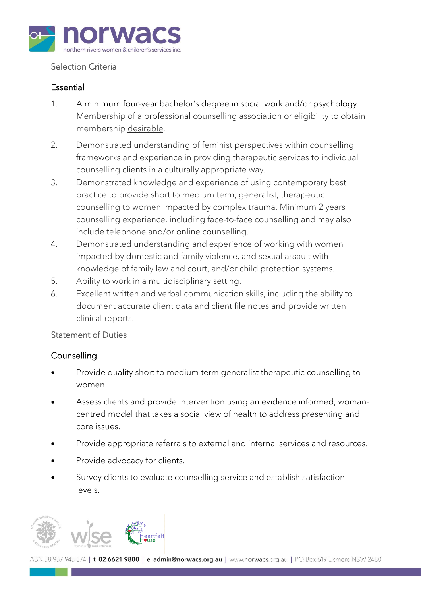

## Selection Criteria

## Essential

- 1. A minimum four-year bachelor's degree in social work and/or psychology. Membership of a professional counselling association or eligibility to obtain membership desirable.
- 2. Demonstrated understanding of feminist perspectives within counselling frameworks and experience in providing therapeutic services to individual counselling clients in a culturally appropriate way.
- 3. Demonstrated knowledge and experience of using contemporary best practice to provide short to medium term, generalist, therapeutic counselling to women impacted by complex trauma. Minimum 2 years counselling experience, including face-to-face counselling and may also include telephone and/or online counselling.
- 4. Demonstrated understanding and experience of working with women impacted by domestic and family violence, and sexual assault with knowledge of family law and court, and/or child protection systems.
- 5. Ability to work in a multidisciplinary setting.
- 6. Excellent written and verbal communication skills, including the ability to document accurate client data and client file notes and provide written clinical reports.

#### Statement of Duties

# **Counselling**

- Provide quality short to medium term generalist therapeutic counselling to women.
- Assess clients and provide intervention using an evidence informed, womancentred model that takes a social view of health to address presenting and core issues.
- Provide appropriate referrals to external and internal services and resources.
- Provide advocacy for clients.
- Survey clients to evaluate counselling service and establish satisfaction levels.

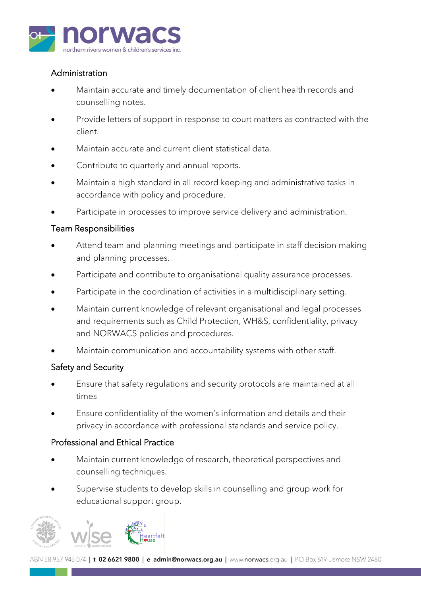

# Administration

- Maintain accurate and timely documentation of client health records and counselling notes.
- Provide letters of support in response to court matters as contracted with the client.
- Maintain accurate and current client statistical data.
- Contribute to quarterly and annual reports.
- Maintain a high standard in all record keeping and administrative tasks in accordance with policy and procedure.
- Participate in processes to improve service delivery and administration.

## Team Responsibilities

- Attend team and planning meetings and participate in staff decision making and planning processes.
- Participate and contribute to organisational quality assurance processes.
- Participate in the coordination of activities in a multidisciplinary setting.
- Maintain current knowledge of relevant organisational and legal processes and requirements such as Child Protection, WH&S, confidentiality, privacy and NORWACS policies and procedures.
- Maintain communication and accountability systems with other staff.

# Safety and Security

- Ensure that safety regulations and security protocols are maintained at all times
- Ensure confidentiality of the women's information and details and their privacy in accordance with professional standards and service policy.

#### Professional and Ethical Practice

- Maintain current knowledge of research, theoretical perspectives and counselling techniques.
- Supervise students to develop skills in counselling and group work for educational support group.